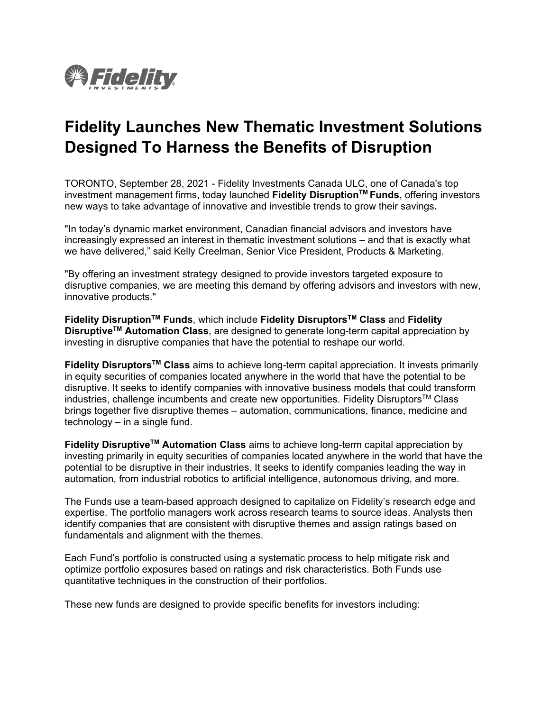

## **Fidelity Launches New Thematic Investment Solutions Designed To Harness the Benefits of Disruption**

TORONTO, September 28, 2021 - Fidelity Investments Canada ULC, one of Canada's top investment management firms, today launched **Fidelity DisruptionTM Funds**, offering investors new ways to take advantage of innovative and investible trends to grow their savings**.**

"In today's dynamic market environment, Canadian financial advisors and investors have increasingly expressed an interest in thematic investment solutions – and that is exactly what we have delivered," said Kelly Creelman, Senior Vice President, Products & Marketing.

"By offering an investment strategy designed to provide investors targeted exposure to disruptive companies, we are meeting this demand by offering advisors and investors with new, innovative products."

**Fidelity DisruptionTM Funds**, which include **Fidelity DisruptorsTM Class** and **Fidelity DisruptiveTM Automation Class**, are designed to generate long-term capital appreciation by investing in disruptive companies that have the potential to reshape our world.

**Fidelity DisruptorsTM Class** aims to achieve long-term capital appreciation. It invests primarily in equity securities of companies located anywhere in the world that have the potential to be disruptive. It seeks to identify companies with innovative business models that could transform industries, challenge incumbents and create new opportunities. Fidelity DisruptorsTM Class brings together five disruptive themes – automation, communications, finance, medicine and technology – in a single fund.

**Fidelity DisruptiveTM Automation Class** aims to achieve long-term capital appreciation by investing primarily in equity securities of companies located anywhere in the world that have the potential to be disruptive in their industries. It seeks to identify companies leading the way in automation, from industrial robotics to artificial intelligence, autonomous driving, and more.

The Funds use a team-based approach designed to capitalize on Fidelity's research edge and expertise. The portfolio managers work across research teams to source ideas. Analysts then identify companies that are consistent with disruptive themes and assign ratings based on fundamentals and alignment with the themes.

Each Fund's portfolio is constructed using a systematic process to help mitigate risk and optimize portfolio exposures based on ratings and risk characteristics. Both Funds use quantitative techniques in the construction of their portfolios.

These new funds are designed to provide specific benefits for investors including: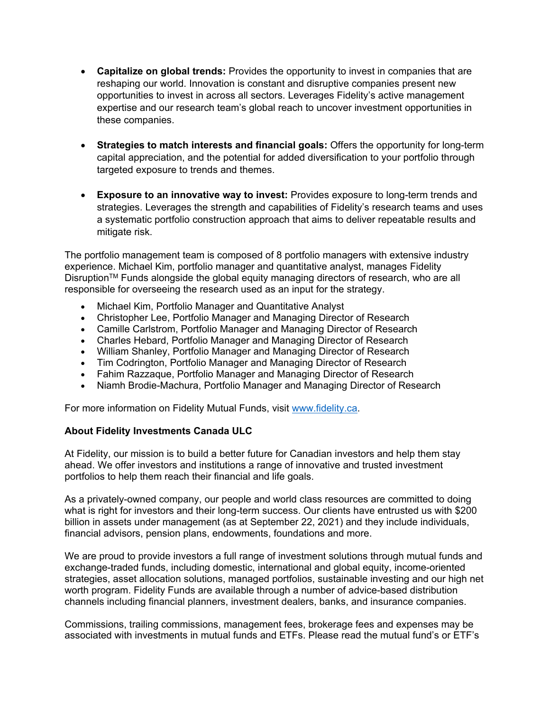- **Capitalize on global trends:** Provides the opportunity to invest in companies that are reshaping our world. Innovation is constant and disruptive companies present new opportunities to invest in across all sectors. Leverages Fidelity's active management expertise and our research team's global reach to uncover investment opportunities in these companies.
- **Strategies to match interests and financial goals:** Offers the opportunity for long-term capital appreciation, and the potential for added diversification to your portfolio through targeted exposure to trends and themes.
- **Exposure to an innovative way to invest:** Provides exposure to long-term trends and strategies. Leverages the strength and capabilities of Fidelity's research teams and uses a systematic portfolio construction approach that aims to deliver repeatable results and mitigate risk.

The portfolio management team is composed of 8 portfolio managers with extensive industry experience. Michael Kim, portfolio manager and quantitative analyst, manages Fidelity DisruptionTM Funds alongside the global equity managing directors of research, who are all responsible for overseeing the research used as an input for the strategy.

- Michael Kim, Portfolio Manager and Quantitative Analyst
- Christopher Lee, Portfolio Manager and Managing Director of Research
- Camille Carlstrom, Portfolio Manager and Managing Director of Research
- Charles Hebard, Portfolio Manager and Managing Director of Research
- William Shanley, Portfolio Manager and Managing Director of Research
- Tim Codrington, Portfolio Manager and Managing Director of Research
- Fahim Razzaque, Portfolio Manager and Managing Director of Research
- Niamh Brodie-Machura, Portfolio Manager and Managing Director of Research

For more information on Fidelity Mutual Funds, visit [www.fidelity.ca.](http://www.fidelity.ca/)

## **About Fidelity Investments Canada ULC**

At Fidelity, our mission is to build a better future for Canadian investors and help them stay ahead. We offer investors and institutions a range of innovative and trusted investment portfolios to help them reach their financial and life goals.

As a privately-owned company, our people and world class resources are committed to doing what is right for investors and their long-term success. Our clients have entrusted us with \$200 billion in assets under management (as at September 22, 2021) and they include individuals, financial advisors, pension plans, endowments, foundations and more.

We are proud to provide investors a full range of investment solutions through mutual funds and exchange-traded funds, including domestic, international and global equity, income-oriented strategies, asset allocation solutions, managed portfolios, sustainable investing and our high net worth program. Fidelity Funds are available through a number of advice-based distribution channels including financial planners, investment dealers, banks, and insurance companies.

Commissions, trailing commissions, management fees, brokerage fees and expenses may be associated with investments in mutual funds and ETFs. Please read the mutual fund's or ETF's